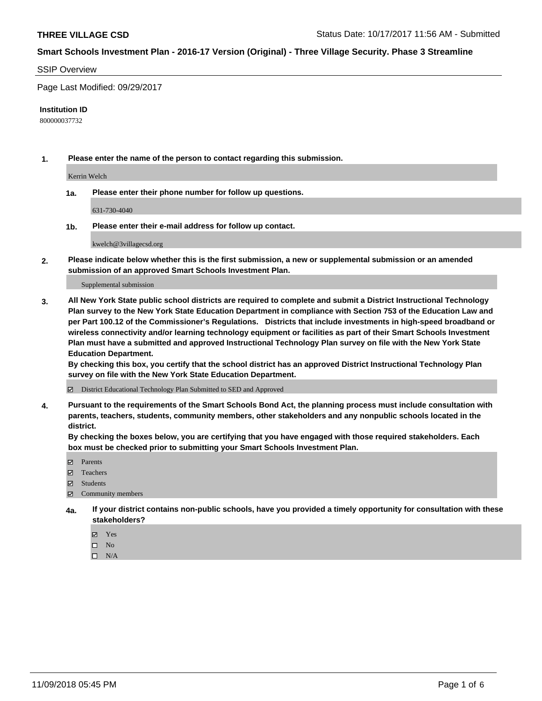#### SSIP Overview

Page Last Modified: 09/29/2017

#### **Institution ID**

800000037732

**1. Please enter the name of the person to contact regarding this submission.**

Kerrin Welch

**1a. Please enter their phone number for follow up questions.**

631-730-4040

**1b. Please enter their e-mail address for follow up contact.**

kwelch@3villagecsd.org

**2. Please indicate below whether this is the first submission, a new or supplemental submission or an amended submission of an approved Smart Schools Investment Plan.**

Supplemental submission

**3. All New York State public school districts are required to complete and submit a District Instructional Technology Plan survey to the New York State Education Department in compliance with Section 753 of the Education Law and per Part 100.12 of the Commissioner's Regulations. Districts that include investments in high-speed broadband or wireless connectivity and/or learning technology equipment or facilities as part of their Smart Schools Investment Plan must have a submitted and approved Instructional Technology Plan survey on file with the New York State Education Department.** 

**By checking this box, you certify that the school district has an approved District Instructional Technology Plan survey on file with the New York State Education Department.**

District Educational Technology Plan Submitted to SED and Approved

**4. Pursuant to the requirements of the Smart Schools Bond Act, the planning process must include consultation with parents, teachers, students, community members, other stakeholders and any nonpublic schools located in the district.** 

**By checking the boxes below, you are certifying that you have engaged with those required stakeholders. Each box must be checked prior to submitting your Smart Schools Investment Plan.**

- **□** Parents
- Teachers
- Students
- $\boxtimes$  Community members
- **4a. If your district contains non-public schools, have you provided a timely opportunity for consultation with these stakeholders?**
	- Yes
	- $\qquad \qquad$  No
	- $\square$  N/A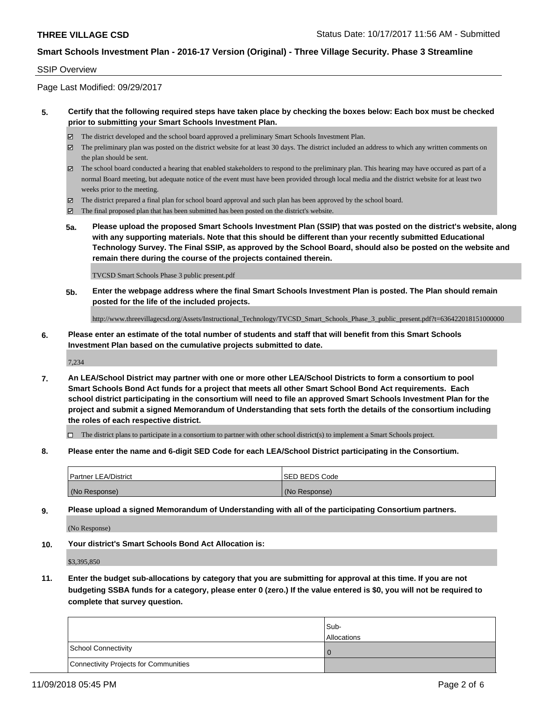#### SSIP Overview

Page Last Modified: 09/29/2017

#### **5. Certify that the following required steps have taken place by checking the boxes below: Each box must be checked prior to submitting your Smart Schools Investment Plan.**

- The district developed and the school board approved a preliminary Smart Schools Investment Plan.
- $\boxtimes$  The preliminary plan was posted on the district website for at least 30 days. The district included an address to which any written comments on the plan should be sent.
- $\boxtimes$  The school board conducted a hearing that enabled stakeholders to respond to the preliminary plan. This hearing may have occured as part of a normal Board meeting, but adequate notice of the event must have been provided through local media and the district website for at least two weeks prior to the meeting.
- The district prepared a final plan for school board approval and such plan has been approved by the school board.
- $\boxtimes$  The final proposed plan that has been submitted has been posted on the district's website.
- **5a. Please upload the proposed Smart Schools Investment Plan (SSIP) that was posted on the district's website, along with any supporting materials. Note that this should be different than your recently submitted Educational Technology Survey. The Final SSIP, as approved by the School Board, should also be posted on the website and remain there during the course of the projects contained therein.**

TVCSD Smart Schools Phase 3 public present.pdf

**5b. Enter the webpage address where the final Smart Schools Investment Plan is posted. The Plan should remain posted for the life of the included projects.**

http://www.threevillagecsd.org/Assets/Instructional\_Technology/TVCSD\_Smart\_Schools\_Phase\_3\_public\_present.pdf?t=636422018151000000

**6. Please enter an estimate of the total number of students and staff that will benefit from this Smart Schools Investment Plan based on the cumulative projects submitted to date.**

7,234

**7. An LEA/School District may partner with one or more other LEA/School Districts to form a consortium to pool Smart Schools Bond Act funds for a project that meets all other Smart School Bond Act requirements. Each school district participating in the consortium will need to file an approved Smart Schools Investment Plan for the project and submit a signed Memorandum of Understanding that sets forth the details of the consortium including the roles of each respective district.**

 $\Box$  The district plans to participate in a consortium to partner with other school district(s) to implement a Smart Schools project.

**8. Please enter the name and 6-digit SED Code for each LEA/School District participating in the Consortium.**

| <b>Partner LEA/District</b> | <b>ISED BEDS Code</b> |
|-----------------------------|-----------------------|
| (No Response)               | (No Response)         |

**9. Please upload a signed Memorandum of Understanding with all of the participating Consortium partners.**

(No Response)

**10. Your district's Smart Schools Bond Act Allocation is:**

\$3,395,850

**11. Enter the budget sub-allocations by category that you are submitting for approval at this time. If you are not budgeting SSBA funds for a category, please enter 0 (zero.) If the value entered is \$0, you will not be required to complete that survey question.**

|                                       | Sub-<br><b>Allocations</b> |
|---------------------------------------|----------------------------|
| School Connectivity                   |                            |
| Connectivity Projects for Communities |                            |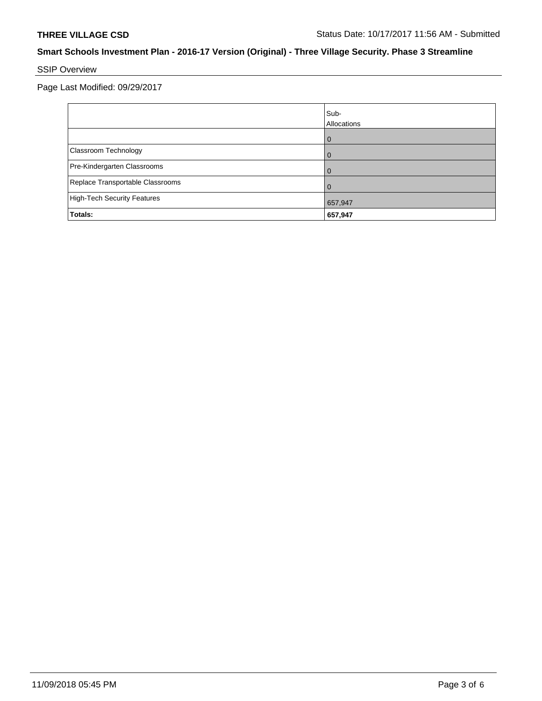# SSIP Overview

Page Last Modified: 09/29/2017

|                                  | Sub-<br>Allocations |
|----------------------------------|---------------------|
|                                  | 0                   |
| Classroom Technology             | $\overline{0}$      |
| Pre-Kindergarten Classrooms      | $\Omega$            |
| Replace Transportable Classrooms | $\Omega$            |
| High-Tech Security Features      | 657,947             |
| Totals:                          | 657,947             |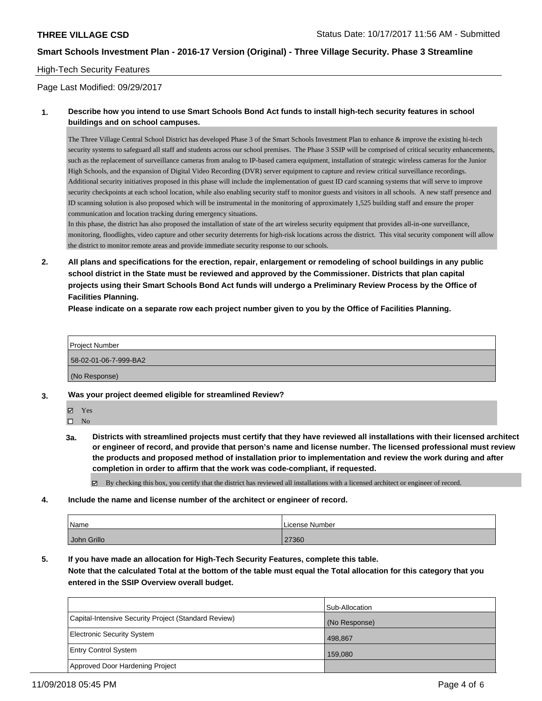#### High-Tech Security Features

Page Last Modified: 09/29/2017

#### **1. Describe how you intend to use Smart Schools Bond Act funds to install high-tech security features in school buildings and on school campuses.**

The Three Village Central School District has developed Phase 3 of the Smart Schools Investment Plan to enhance & improve the existing hi-tech security systems to safeguard all staff and students across our school premises. The Phase 3 SSIP will be comprised of critical security enhancements, such as the replacement of surveillance cameras from analog to IP-based camera equipment, installation of strategic wireless cameras for the Junior High Schools, and the expansion of Digital Video Recording (DVR) server equipment to capture and review critical surveillance recordings. Additional security initiatives proposed in this phase will include the implementation of guest ID card scanning systems that will serve to improve security checkpoints at each school location, while also enabling security staff to monitor guests and visitors in all schools. A new staff presence and ID scanning solution is also proposed which will be instrumental in the monitoring of approximately 1,525 building staff and ensure the proper communication and location tracking during emergency situations.

In this phase, the district has also proposed the installation of state of the art wireless security equipment that provides all-in-one surveillance, monitoring, floodlights, video capture and other security deterrents for high-risk locations across the district. This vital security component will allow the district to monitor remote areas and provide immediate security response to our schools.

**2. All plans and specifications for the erection, repair, enlargement or remodeling of school buildings in any public school district in the State must be reviewed and approved by the Commissioner. Districts that plan capital projects using their Smart Schools Bond Act funds will undergo a Preliminary Review Process by the Office of Facilities Planning.** 

**Please indicate on a separate row each project number given to you by the Office of Facilities Planning.**

Project Number 58-02-01-06-7-999-BA2 (No Response)

- **3. Was your project deemed eligible for streamlined Review?**
	- Yes

 $\square$  No

**3a. Districts with streamlined projects must certify that they have reviewed all installations with their licensed architect or engineer of record, and provide that person's name and license number. The licensed professional must review the products and proposed method of installation prior to implementation and review the work during and after completion in order to affirm that the work was code-compliant, if requested.**

By checking this box, you certify that the district has reviewed all installations with a licensed architect or engineer of record.

**4. Include the name and license number of the architect or engineer of record.**

| Name        | License Number |
|-------------|----------------|
| John Grillo | 27360          |

**5. If you have made an allocation for High-Tech Security Features, complete this table.**

**Note that the calculated Total at the bottom of the table must equal the Total allocation for this category that you entered in the SSIP Overview overall budget.**

|                                                      | Sub-Allocation |
|------------------------------------------------------|----------------|
| Capital-Intensive Security Project (Standard Review) | (No Response)  |
| <b>Electronic Security System</b>                    | 498.867        |
| <b>Entry Control System</b>                          | 159.080        |
| Approved Door Hardening Project                      |                |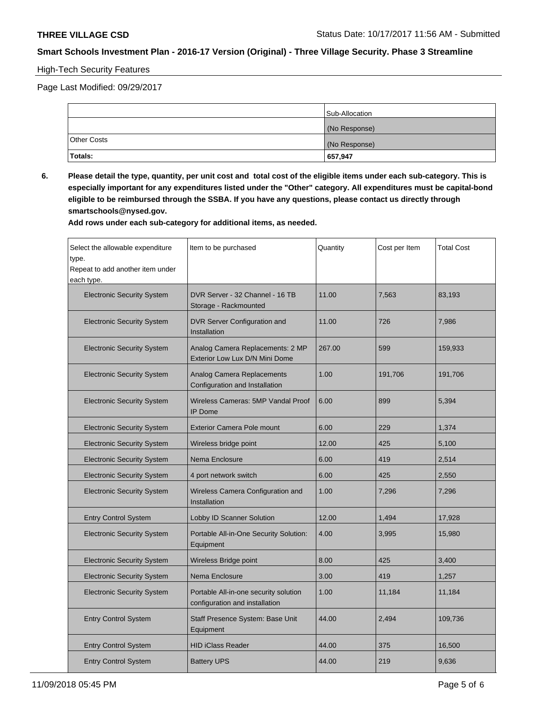# High-Tech Security Features

Page Last Modified: 09/29/2017

|                    | Sub-Allocation |
|--------------------|----------------|
|                    | (No Response)  |
| <b>Other Costs</b> | (No Response)  |
| Totals:            | 657,947        |

**6. Please detail the type, quantity, per unit cost and total cost of the eligible items under each sub-category. This is especially important for any expenditures listed under the "Other" category. All expenditures must be capital-bond eligible to be reimbursed through the SSBA. If you have any questions, please contact us directly through smartschools@nysed.gov.**

**Add rows under each sub-category for additional items, as needed.**

| Select the allowable expenditure<br>type.<br>Repeat to add another item under<br>each type. | Item to be purchased                                                    | Quantity | Cost per Item | <b>Total Cost</b> |
|---------------------------------------------------------------------------------------------|-------------------------------------------------------------------------|----------|---------------|-------------------|
| <b>Electronic Security System</b>                                                           | DVR Server - 32 Channel - 16 TB<br>Storage - Rackmounted                | 11.00    | 7,563         | 83,193            |
| <b>Electronic Security System</b>                                                           | DVR Server Configuration and<br>Installation                            | 11.00    | 726           | 7,986             |
| <b>Electronic Security System</b>                                                           | Analog Camera Replacements: 2 MP<br>Exterior Low Lux D/N Mini Dome      | 267.00   | 599           | 159,933           |
| <b>Electronic Security System</b>                                                           | Analog Camera Replacements<br>Configuration and Installation            | 1.00     | 191,706       | 191,706           |
| <b>Electronic Security System</b>                                                           | Wireless Cameras: 5MP Vandal Proof<br>IP Dome                           | 6.00     | 899           | 5,394             |
| <b>Electronic Security System</b>                                                           | <b>Exterior Camera Pole mount</b>                                       | 6.00     | 229           | 1,374             |
| <b>Electronic Security System</b>                                                           | Wireless bridge point                                                   | 12.00    | 425           | 5,100             |
| <b>Electronic Security System</b>                                                           | Nema Enclosure                                                          | 6.00     | 419           | 2,514             |
| <b>Electronic Security System</b>                                                           | 4 port network switch                                                   | 6.00     | 425           | 2,550             |
| <b>Electronic Security System</b>                                                           | Wireless Camera Configuration and<br>Installation                       | 1.00     | 7,296         | 7,296             |
| <b>Entry Control System</b>                                                                 | Lobby ID Scanner Solution                                               | 12.00    | 1,494         | 17,928            |
| <b>Electronic Security System</b>                                                           | Portable All-in-One Security Solution:<br>Equipment                     | 4.00     | 3,995         | 15,980            |
| <b>Electronic Security System</b>                                                           | Wireless Bridge point                                                   | 8.00     | 425           | 3,400             |
| <b>Electronic Security System</b>                                                           | Nema Enclosure                                                          | 3.00     | 419           | 1,257             |
| <b>Electronic Security System</b>                                                           | Portable All-in-one security solution<br>configuration and installation | 1.00     | 11,184        | 11,184            |
| <b>Entry Control System</b>                                                                 | Staff Presence System: Base Unit<br>Equipment                           | 44.00    | 2,494         | 109,736           |
| <b>Entry Control System</b>                                                                 | <b>HID iClass Reader</b>                                                | 44.00    | 375           | 16,500            |
| <b>Entry Control System</b>                                                                 | <b>Battery UPS</b>                                                      | 44.00    | 219           | 9,636             |